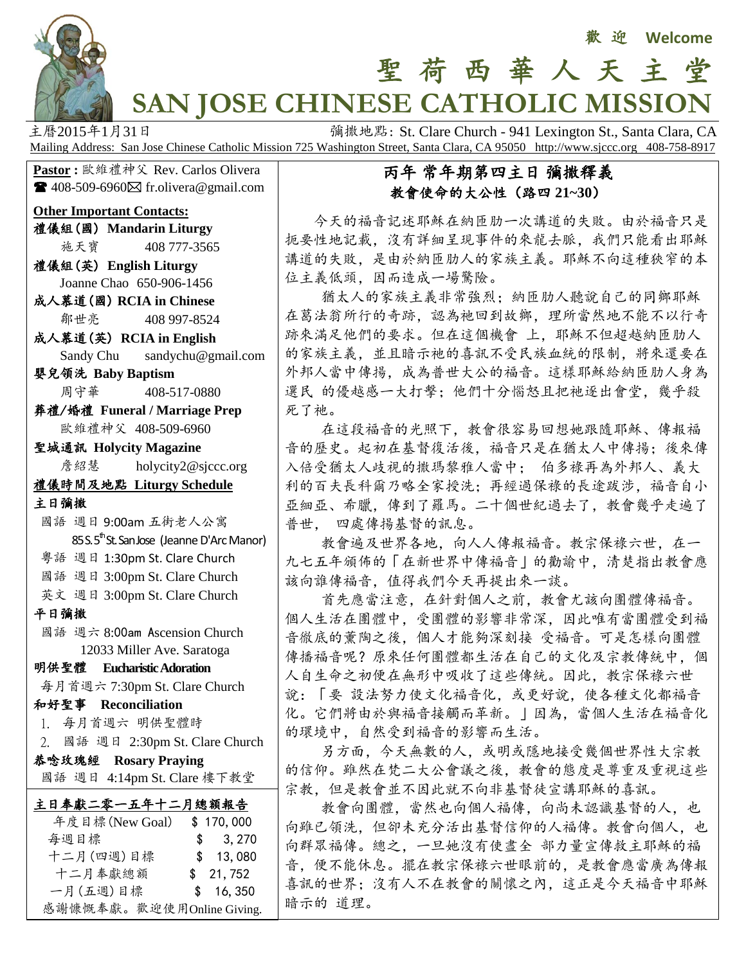

# **SAN JOSE CHINESE CATHOLIC MISSION**

主曆2015年1月31日 **December 1941 The Participal Teleman Teleman St., Santa Clara, CA** Mailing Address: San Jose Chinese Catholic Mission 725 Washington Street, Santa Clara, CA 95050 http://www.sjccc.org 408-758-8917

**Pastor** : 歐維禮神父 Rev. Carlos Olivera  $\blacksquare$  408-509-6960 $\boxtimes$  fr.olivera@gmail.com

#### **Other Important Contacts:**

禮儀組(國) **Mandarin Liturgy** 施天寶 408 777-3565

禮儀組(英) **English Liturgy** Joanne Chao 650-906-1456

成人慕道(國) **RCIA in Chinese** 鄒世亮 408 997-8524

成人慕道(英) **RCIA in English** Sandy Chu sandychu@gmail.com

嬰兒領洗 **Baby Baptism** 周守華 408-517-0880

葬禮/婚禮 **Funeral / Marriage Prep** 歐維禮神父 408-509-6960

聖城通訊 **Holycity Magazine**

**詹紹慧** [holycity2@sjccc.org](mailto:holycity2@sjccc.org)

### 禮儀時間及地點 **Liturgy Schedule**

主日彌撒

- 國語 週日 9:00am 五街老人公寓  $85 S. 5<sup>th</sup>$ St. San Jose (Jeanne D'Arc Manor) 粵語 週日 1:30pm St. Clare Church
- 國語 週日 3:00pm St. Clare Church
- 英文 週日 3:00pm St. Clare Church

平日彌撒

ī

 國語 週六 8:00am Ascension Church 12033 Miller Ave. Saratoga

#### 明供聖體 **Eucharistic Adoration**

每月首週六 7:30pm St. Clare Church

和好聖事 **Reconciliation**

1. 每月首週六 明供聖體時

2. 國語 週日 2:30pm St. Clare Church

#### 恭唸玫瑰經 **Rosary Praying**

國語 週日 4:14pm St. Clare 樓下教堂

| 主日奉獻二零一五年十二月總額報告          |           |
|---------------------------|-----------|
| 年度目標 (New Goal)           | \$170,000 |
| 每週目標                      | \$3,270   |
| 十二月(四週)目標                 | \$13,080  |
| 十二月奉獻總額                   | \$21,752  |
| 一月(五週)目標                  | \$16,350  |
| 感謝慷慨奉獻。歡迎使用Online Giving. |           |

#### 丙年 常年期第四主日 彌撒釋義 教會使命的大公性(路四 **21~30**)

聖 荷 西 華 人 天 主 堂

 今天的福音記述耶穌在納匝肋一次講道的失敗。由於福音只是 扼要性地記載,沒有詳細呈現事件的來龍去脈,我們只能看出耶穌 講道的失敗,是由於納匝肋人的家族主義。耶穌不向這種狹窄的本 位主義低頭,因而造成一場驚險。

猶太人的家族主義非常強烈;納匝肋人聽說自己的同鄉耶穌 在葛法翁所行的奇跡,認為祂回到故鄉,理所當然地不能不以行奇 跡來滿足他們的要求。但在這個機會 上,耶穌不但超越納匝肋人 的家族主義,並且暗示祂的喜訊不受民族血統的限制,將來還要在 外邦人當中傳揚,成為普世大公的福音。這樣耶穌給納匝肋人身為 選民 的優越感一大打擊;他們十分惱怒且把祂逐出會堂,幾乎殺 死了祂。

 在這段福音的光照下,教會很容易回想她跟隨耶穌、傳報福 音的歷史。起初在基督復活後,福音只是在猶太人中傳揚;後來傳 入倍受猶太人歧視的撒瑪黎雅人當中; 伯多祿再為外邦人、義大 利的百夫長科爾乃略全家授洗;再經過保祿的長途跋涉,福音自小 亞細亞、希臘,傳到了羅馬。二十個世紀過去了,教會幾乎走遍了 普世, 四處傳揚基督的訊息。

 教會遍及世界各地,向人人傳報福音。教宗保祿六世,在一 九七五年頒佈的「在新世界中傳福音」的勸諭中,清楚指出教會應 該向誰傳福音,值得我們今天再提出來一談。

 首先應當注意,在針對個人之前,教會尤該向團體傳福音。 個人生活在團體中,受團體的影響非常深,因此唯有當團體受到福 音徹底的薰陶之後,個人才能夠深刻接 受福音。可是怎樣向團體 傳播福音呢?原來任何團體都生活在自己的文化及宗教傳統中,個 人自生命之初便在無形中吸收了這些傳統。因此,教宗保祿六世 說:「要 設法努力使文化福音化,或更好說,使各種文化都福音 化。它們將由於與福音接觸而革新。」因為,當個人生活在福音化 的環境中,自然受到福音的影響而生活。

 另方面,今天無數的人,或明或隱地接受幾個世界性大宗教 的信仰。雖然在梵二大公會議之後,教會的態度是尊重及重視這些 宗教,但是教會並不因此就不向非基督徒宣講耶穌的喜訊。

教會向團體,當然也向個人福傳,向尚未認識基督的人,也 向雖已領洗,但卻未充分活出基督信仰的人福傳。教會向個人,也 向群眾福傳。總之,一旦她沒有使盡全 部力量宣傳救主耶穌的福 音,便不能休息。擺在教宗保祿六世眼前的,是教會應當廣為傳報 喜訊的世界;沒有人不在教會的關懷之內,這正是今天福音中耶穌 暗示的 道理。